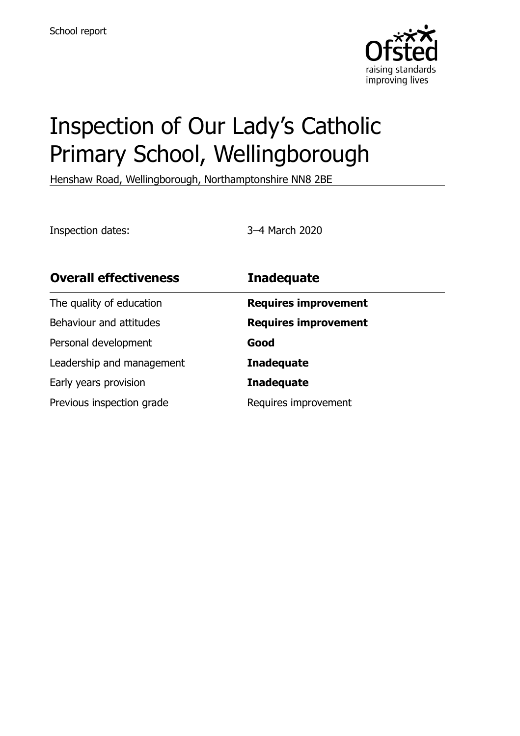

# Inspection of Our Lady's Catholic Primary School, Wellingborough

Henshaw Road, Wellingborough, Northamptonshire NN8 2BE

Inspection dates: 3–4 March 2020

| <b>Overall effectiveness</b> | <b>Inadequate</b>           |
|------------------------------|-----------------------------|
| The quality of education     | <b>Requires improvement</b> |
| Behaviour and attitudes      | <b>Requires improvement</b> |
| Personal development         | Good                        |
| Leadership and management    | <b>Inadequate</b>           |
| Early years provision        | <b>Inadequate</b>           |
| Previous inspection grade    | Requires improvement        |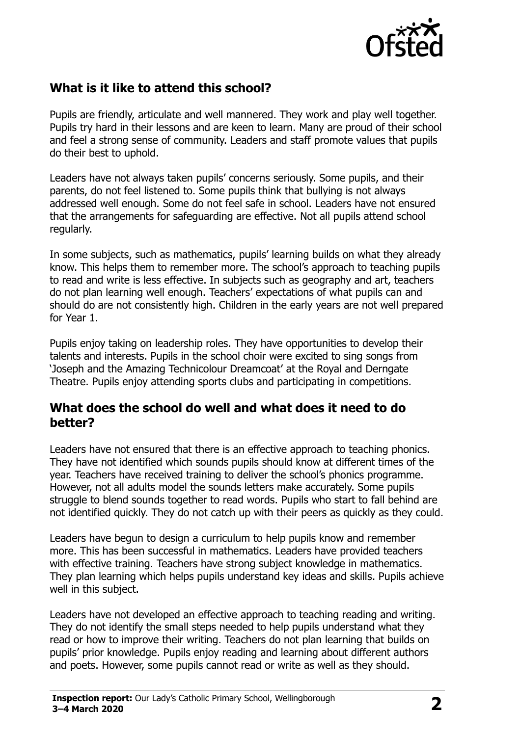

## **What is it like to attend this school?**

Pupils are friendly, articulate and well mannered. They work and play well together. Pupils try hard in their lessons and are keen to learn. Many are proud of their school and feel a strong sense of community. Leaders and staff promote values that pupils do their best to uphold.

Leaders have not always taken pupils' concerns seriously. Some pupils, and their parents, do not feel listened to. Some pupils think that bullying is not always addressed well enough. Some do not feel safe in school. Leaders have not ensured that the arrangements for safeguarding are effective. Not all pupils attend school regularly.

In some subjects, such as mathematics, pupils' learning builds on what they already know. This helps them to remember more. The school's approach to teaching pupils to read and write is less effective. In subjects such as geography and art, teachers do not plan learning well enough. Teachers' expectations of what pupils can and should do are not consistently high. Children in the early years are not well prepared for Year 1.

Pupils enjoy taking on leadership roles. They have opportunities to develop their talents and interests. Pupils in the school choir were excited to sing songs from 'Joseph and the Amazing Technicolour Dreamcoat' at the Royal and Derngate Theatre. Pupils enjoy attending sports clubs and participating in competitions.

#### **What does the school do well and what does it need to do better?**

Leaders have not ensured that there is an effective approach to teaching phonics. They have not identified which sounds pupils should know at different times of the year. Teachers have received training to deliver the school's phonics programme. However, not all adults model the sounds letters make accurately. Some pupils struggle to blend sounds together to read words. Pupils who start to fall behind are not identified quickly. They do not catch up with their peers as quickly as they could.

Leaders have begun to design a curriculum to help pupils know and remember more. This has been successful in mathematics. Leaders have provided teachers with effective training. Teachers have strong subject knowledge in mathematics. They plan learning which helps pupils understand key ideas and skills. Pupils achieve well in this subject.

Leaders have not developed an effective approach to teaching reading and writing. They do not identify the small steps needed to help pupils understand what they read or how to improve their writing. Teachers do not plan learning that builds on pupils' prior knowledge. Pupils enjoy reading and learning about different authors and poets. However, some pupils cannot read or write as well as they should.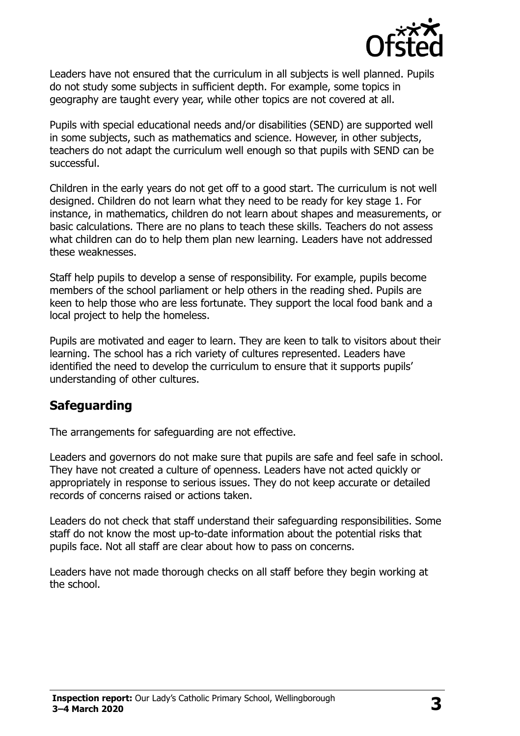

Leaders have not ensured that the curriculum in all subjects is well planned. Pupils do not study some subjects in sufficient depth. For example, some topics in geography are taught every year, while other topics are not covered at all.

Pupils with special educational needs and/or disabilities (SEND) are supported well in some subjects, such as mathematics and science. However, in other subjects, teachers do not adapt the curriculum well enough so that pupils with SEND can be successful.

Children in the early years do not get off to a good start. The curriculum is not well designed. Children do not learn what they need to be ready for key stage 1. For instance, in mathematics, children do not learn about shapes and measurements, or basic calculations. There are no plans to teach these skills. Teachers do not assess what children can do to help them plan new learning. Leaders have not addressed these weaknesses.

Staff help pupils to develop a sense of responsibility. For example, pupils become members of the school parliament or help others in the reading shed. Pupils are keen to help those who are less fortunate. They support the local food bank and a local project to help the homeless.

Pupils are motivated and eager to learn. They are keen to talk to visitors about their learning. The school has a rich variety of cultures represented. Leaders have identified the need to develop the curriculum to ensure that it supports pupils' understanding of other cultures.

#### **Safeguarding**

The arrangements for safeguarding are not effective.

Leaders and governors do not make sure that pupils are safe and feel safe in school. They have not created a culture of openness. Leaders have not acted quickly or appropriately in response to serious issues. They do not keep accurate or detailed records of concerns raised or actions taken.

Leaders do not check that staff understand their safeguarding responsibilities. Some staff do not know the most up-to-date information about the potential risks that pupils face. Not all staff are clear about how to pass on concerns.

Leaders have not made thorough checks on all staff before they begin working at the school.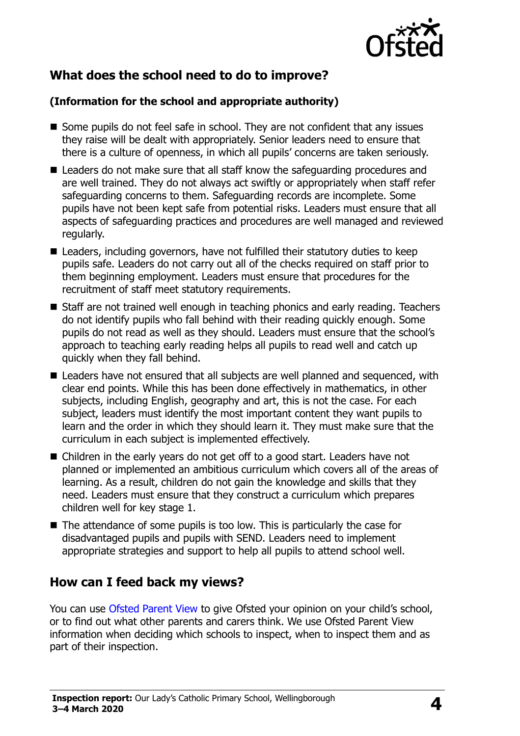

# **What does the school need to do to improve?**

#### **(Information for the school and appropriate authority)**

- Some pupils do not feel safe in school. They are not confident that any issues they raise will be dealt with appropriately. Senior leaders need to ensure that there is a culture of openness, in which all pupils' concerns are taken seriously.
- Leaders do not make sure that all staff know the safeguarding procedures and are well trained. They do not always act swiftly or appropriately when staff refer safeguarding concerns to them. Safeguarding records are incomplete. Some pupils have not been kept safe from potential risks. Leaders must ensure that all aspects of safeguarding practices and procedures are well managed and reviewed regularly.
- Leaders, including governors, have not fulfilled their statutory duties to keep pupils safe. Leaders do not carry out all of the checks required on staff prior to them beginning employment. Leaders must ensure that procedures for the recruitment of staff meet statutory requirements.
- Staff are not trained well enough in teaching phonics and early reading. Teachers do not identify pupils who fall behind with their reading quickly enough. Some pupils do not read as well as they should. Leaders must ensure that the school's approach to teaching early reading helps all pupils to read well and catch up quickly when they fall behind.
- Leaders have not ensured that all subjects are well planned and sequenced, with clear end points. While this has been done effectively in mathematics, in other subjects, including English, geography and art, this is not the case. For each subject, leaders must identify the most important content they want pupils to learn and the order in which they should learn it. They must make sure that the curriculum in each subject is implemented effectively.
- Children in the early years do not get off to a good start. Leaders have not planned or implemented an ambitious curriculum which covers all of the areas of learning. As a result, children do not gain the knowledge and skills that they need. Leaders must ensure that they construct a curriculum which prepares children well for key stage 1.
- The attendance of some pupils is too low. This is particularly the case for disadvantaged pupils and pupils with SEND. Leaders need to implement appropriate strategies and support to help all pupils to attend school well.

## **How can I feed back my views?**

You can use [Ofsted Parent View](http://parentview.ofsted.gov.uk/) to give Ofsted your opinion on your child's school, or to find out what other parents and carers think. We use Ofsted Parent View information when deciding which schools to inspect, when to inspect them and as part of their inspection.

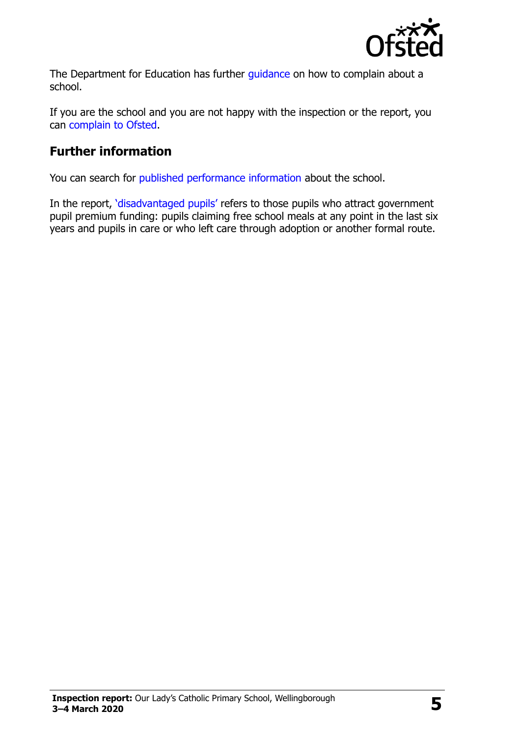

The Department for Education has further quidance on how to complain about a school.

If you are the school and you are not happy with the inspection or the report, you can [complain to Ofsted.](http://www.gov.uk/complain-ofsted-report)

#### **Further information**

You can search for [published performance information](http://www.compare-school-performance.service.gov.uk/) about the school.

In the report, '[disadvantaged pupils](http://www.gov.uk/guidance/pupil-premium-information-for-schools-and-alternative-provision-settings)' refers to those pupils who attract government pupil premium funding: pupils claiming free school meals at any point in the last six years and pupils in care or who left care through adoption or another formal route.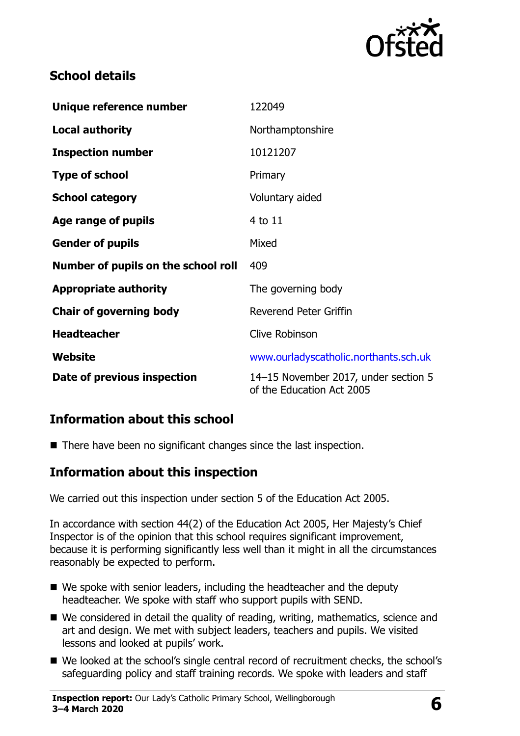

## **School details**

| Unique reference number             | 122049                                                            |
|-------------------------------------|-------------------------------------------------------------------|
| <b>Local authority</b>              | Northamptonshire                                                  |
| <b>Inspection number</b>            | 10121207                                                          |
| <b>Type of school</b>               | Primary                                                           |
| <b>School category</b>              | Voluntary aided                                                   |
| Age range of pupils                 | 4 to 11                                                           |
| <b>Gender of pupils</b>             | Mixed                                                             |
| Number of pupils on the school roll | 409                                                               |
| <b>Appropriate authority</b>        | The governing body                                                |
| <b>Chair of governing body</b>      | Reverend Peter Griffin                                            |
| <b>Headteacher</b>                  | <b>Clive Robinson</b>                                             |
| Website                             | www.ourladyscatholic.northants.sch.uk                             |
| Date of previous inspection         | 14-15 November 2017, under section 5<br>of the Education Act 2005 |

## **Information about this school**

■ There have been no significant changes since the last inspection.

#### **Information about this inspection**

We carried out this inspection under section 5 of the Education Act 2005.

In accordance with section 44(2) of the Education Act 2005, Her Majesty's Chief Inspector is of the opinion that this school requires significant improvement, because it is performing significantly less well than it might in all the circumstances reasonably be expected to perform.

- We spoke with senior leaders, including the headteacher and the deputy headteacher. We spoke with staff who support pupils with SEND.
- We considered in detail the quality of reading, writing, mathematics, science and art and design. We met with subject leaders, teachers and pupils. We visited lessons and looked at pupils' work.
- We looked at the school's single central record of recruitment checks, the school's safeguarding policy and staff training records. We spoke with leaders and staff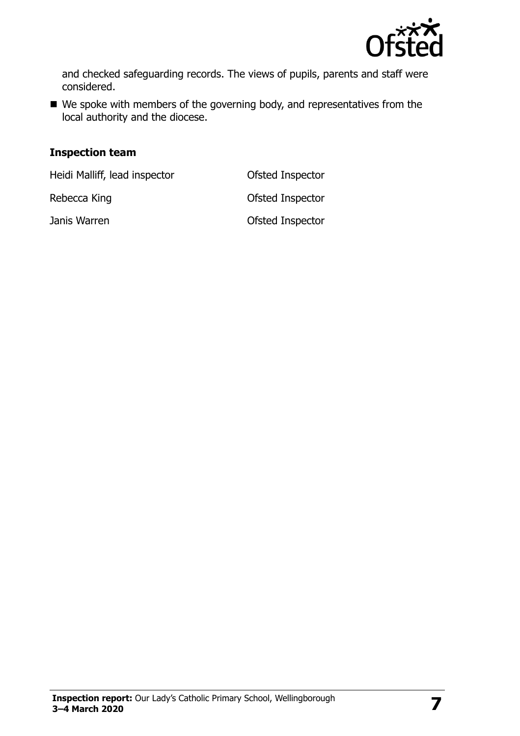

and checked safeguarding records. The views of pupils, parents and staff were considered.

■ We spoke with members of the governing body, and representatives from the local authority and the diocese.

#### **Inspection team**

Heidi Malliff, lead inspector **Ofsted Inspector** 

Rebecca King **CONFING CONFIDENT** CONSTRUCTED A CONSTRUCTED A CONFIDENTIAL CONFIDENTIAL CONFIDENTIAL CONFIDENTIAL CONFIDENTIAL CONFIDENTIAL CONFIDENTIAL CONFIDENTIAL CONFIDENTIAL CONFIDENTIAL CONFIDENTIAL CONFIDENTIAL CONFI

Janis Warren **Disk and Search Contract Contract Contract Contract Contract Contract Contract Contract Contract Contract Contract Contract Contract Contract Contract Contract Contract Contract Contract Contract Contract Con**